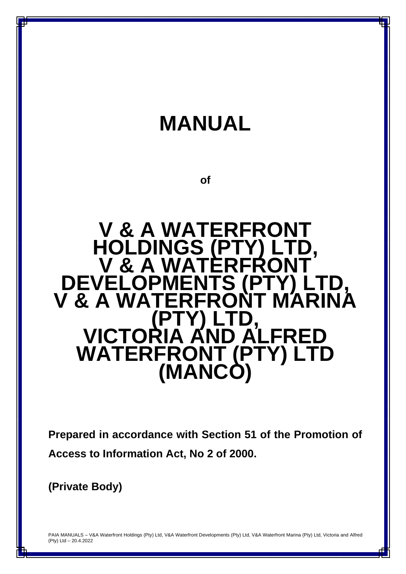

**Prepared in accordance with Section 51 of the Promotion of Access to Information Act, No 2 of 2000.**

**(Private Body)**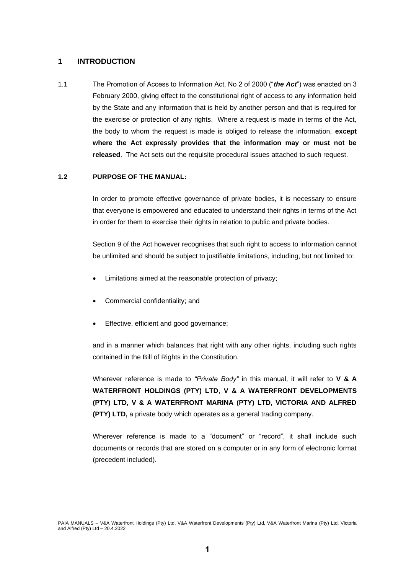## **1 INTRODUCTION**

1.1 The Promotion of Access to Information Act, No 2 of 2000 ("*the Act*") was enacted on 3 February 2000, giving effect to the constitutional right of access to any information held by the State and any information that is held by another person and that is required for the exercise or protection of any rights. Where a request is made in terms of the Act, the body to whom the request is made is obliged to release the information, **except where the Act expressly provides that the information may or must not be released**. The Act sets out the requisite procedural issues attached to such request.

### **1.2 PURPOSE OF THE MANUAL:**

In order to promote effective governance of private bodies, it is necessary to ensure that everyone is empowered and educated to understand their rights in terms of the Act in order for them to exercise their rights in relation to public and private bodies.

Section 9 of the Act however recognises that such right to access to information cannot be unlimited and should be subject to justifiable limitations, including, but not limited to:

- Limitations aimed at the reasonable protection of privacy;
- Commercial confidentiality; and
- Effective, efficient and good governance;

and in a manner which balances that right with any other rights, including such rights contained in the Bill of Rights in the Constitution.

Wherever reference is made to *"Private Body"* in this manual, it will refer to **V & A WATERFRONT HOLDINGS (PTY) LTD**, **V & A WATERFRONT DEVELOPMENTS (PTY) LTD, V & A WATERFRONT MARINA (PTY) LTD, VICTORIA AND ALFRED (PTY) LTD,** a private body which operates as a general trading company.

Wherever reference is made to a "document" or "record", it shall include such documents or records that are stored on a computer or in any form of electronic format (precedent included).

PAIA MANUALS – V&A Waterfront Holdings (Pty) Ltd, V&A Waterfront Developments (Pty) Ltd, V&A Waterfront Marina (Pty) Ltd, Victoria and Alfred (Pty) Ltd – 20.4.2022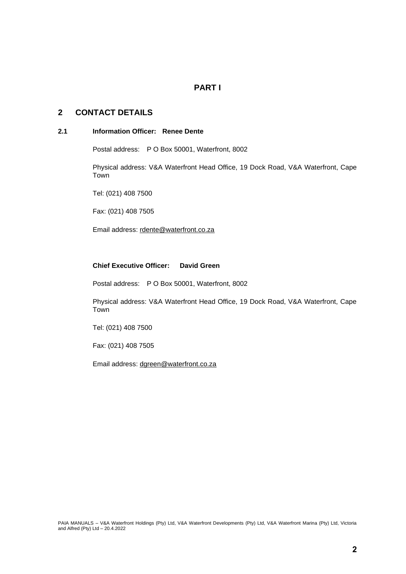# **PART I**

# **2 CONTACT DETAILS**

### **2.1 Information Officer: Renee Dente**

Postal address: P O Box 50001, Waterfront, 8002

Physical address: V&A Waterfront Head Office, 19 Dock Road, V&A Waterfront, Cape Town

Tel: (021) 408 7500

Fax: (021) 408 7505

Email address: [rdente@waterfront.co.za](mailto:rdente@waterfront.co.za)

# **Chief Executive Officer: David Green**

Postal address: P O Box 50001, Waterfront, 8002

Physical address: V&A Waterfront Head Office, 19 Dock Road, V&A Waterfront, Cape Town

Tel: (021) 408 7500

Fax: (021) 408 7505

Email address: [dgreen@waterfront.co.za](mailto:dgreen@waterfront.co.za)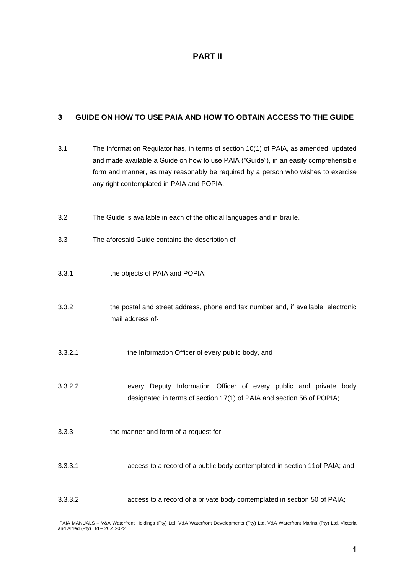# **PART II**

# **3 GUIDE ON HOW TO USE PAIA AND HOW TO OBTAIN ACCESS TO THE GUIDE**

| 3.1     | The Information Regulator has, in terms of section 10(1) of PAIA, as amended, updated<br>and made available a Guide on how to use PAIA ("Guide"), in an easily comprehensible<br>form and manner, as may reasonably be required by a person who wishes to exercise<br>any right contemplated in PAIA and POPIA. |
|---------|-----------------------------------------------------------------------------------------------------------------------------------------------------------------------------------------------------------------------------------------------------------------------------------------------------------------|
| 3.2     | The Guide is available in each of the official languages and in braille.                                                                                                                                                                                                                                        |
| 3.3     | The aforesaid Guide contains the description of-                                                                                                                                                                                                                                                                |
| 3.3.1   | the objects of PAIA and POPIA;                                                                                                                                                                                                                                                                                  |
| 3.3.2   | the postal and street address, phone and fax number and, if available, electronic<br>mail address of-                                                                                                                                                                                                           |
| 3.3.2.1 | the Information Officer of every public body, and                                                                                                                                                                                                                                                               |
| 3.3.2.2 | every Deputy Information Officer of every public and private body<br>designated in terms of section 17(1) of PAIA and section 56 of POPIA;                                                                                                                                                                      |
| 3.3.3   | the manner and form of a request for-                                                                                                                                                                                                                                                                           |
| 3.3.3.1 | access to a record of a public body contemplated in section 11of PAIA; and                                                                                                                                                                                                                                      |
| 3.3.3.2 | access to a record of a private body contemplated in section 50 of PAIA;                                                                                                                                                                                                                                        |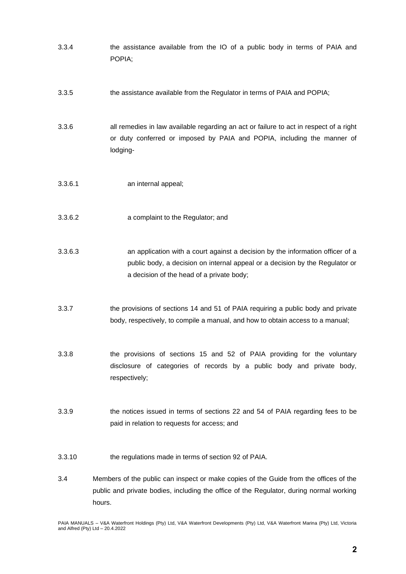- 3.3.4 the assistance available from the IO of a public body in terms of PAIA and POPIA; 3.3.5 the assistance available from the Regulator in terms of PAIA and POPIA; 3.3.6 all remedies in law available regarding an act or failure to act in respect of a right or duty conferred or imposed by PAIA and POPIA, including the manner of lodging-
- 3.3.6.1 an internal appeal;
- 3.3.6.2 a complaint to the Regulator; and
- 3.3.6.3 an application with a court against a decision by the information officer of a public body, a decision on internal appeal or a decision by the Regulator or a decision of the head of a private body;
- 3.3.7 the provisions of sections 14 and 51 of PAIA requiring a public body and private body, respectively, to compile a manual, and how to obtain access to a manual;
- 3.3.8 the provisions of sections 15 and 52 of PAIA providing for the voluntary disclosure of categories of records by a public body and private body, respectively;
- 3.3.9 the notices issued in terms of sections 22 and 54 of PAIA regarding fees to be paid in relation to requests for access; and
- 3.3.10 the regulations made in terms of section 92 of PAIA.
- 3.4 Members of the public can inspect or make copies of the Guide from the offices of the public and private bodies, including the office of the Regulator, during normal working hours.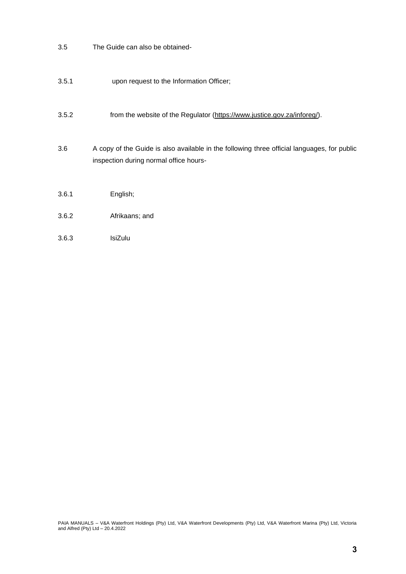- 3.5 The Guide can also be obtained-
- 3.5.1 upon request to the Information Officer;
- 3.5.2 from the website of the Regulator [\(https://www.justice.gov.za/inforeg/\)](https://www.justice.gov.za/inforeg/).
- 3.6 A copy of the Guide is also available in the following three official languages, for public inspection during normal office hours-
- 3.6.1 English;
- 3.6.2 Afrikaans; and
- 3.6.3 IsiZulu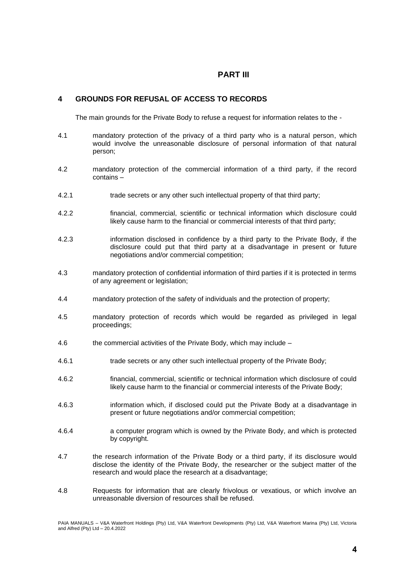# **PART III**

## **4 GROUNDS FOR REFUSAL OF ACCESS TO RECORDS**

The main grounds for the Private Body to refuse a request for information relates to the -

- 4.1 mandatory protection of the privacy of a third party who is a natural person, which would involve the unreasonable disclosure of personal information of that natural person;
- 4.2 mandatory protection of the commercial information of a third party, if the record contains –
- 4.2.1 trade secrets or any other such intellectual property of that third party;
- 4.2.2 financial, commercial, scientific or technical information which disclosure could likely cause harm to the financial or commercial interests of that third party;
- 4.2.3 information disclosed in confidence by a third party to the Private Body, if the disclosure could put that third party at a disadvantage in present or future negotiations and/or commercial competition;
- 4.3 mandatory protection of confidential information of third parties if it is protected in terms of any agreement or legislation;
- 4.4 mandatory protection of the safety of individuals and the protection of property;
- 4.5 mandatory protection of records which would be regarded as privileged in legal proceedings;
- 4.6 the commercial activities of the Private Body, which may include –
- 4.6.1 trade secrets or any other such intellectual property of the Private Body;
- 4.6.2 financial, commercial, scientific or technical information which disclosure of could likely cause harm to the financial or commercial interests of the Private Body;
- 4.6.3 information which, if disclosed could put the Private Body at a disadvantage in present or future negotiations and/or commercial competition;
- 4.6.4 a computer program which is owned by the Private Body, and which is protected by copyright.
- 4.7 the research information of the Private Body or a third party, if its disclosure would disclose the identity of the Private Body, the researcher or the subject matter of the research and would place the research at a disadvantage;
- 4.8 Requests for information that are clearly frivolous or vexatious, or which involve an unreasonable diversion of resources shall be refused.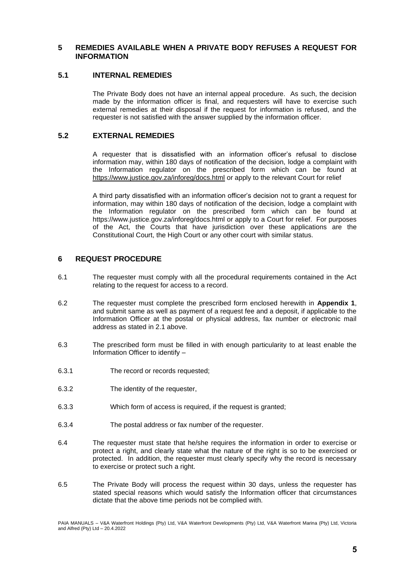### **5 REMEDIES AVAILABLE WHEN A PRIVATE BODY REFUSES A REQUEST FOR INFORMATION**

### **5.1 INTERNAL REMEDIES**

The Private Body does not have an internal appeal procedure. As such, the decision made by the information officer is final, and requesters will have to exercise such external remedies at their disposal if the request for information is refused, and the requester is not satisfied with the answer supplied by the information officer.

## **5.2 EXTERNAL REMEDIES**

A requester that is dissatisfied with an information officer's refusal to disclose information may, within 180 days of notification of the decision, lodge a complaint with the Information regulator on the prescribed form which can be found at <https://www.justice.gov.za/inforeg/docs.html> or apply to the relevant Court for relief

A third party dissatisfied with an information officer's decision not to grant a request for information, may within 180 days of notification of the decision, lodge a complaint with the Information regulator on the prescribed form which can be found at https://www.justice.gov.za/inforeg/docs.html or apply to a Court for relief. For purposes of the Act, the Courts that have jurisdiction over these applications are the Constitutional Court, the High Court or any other court with similar status.

# **6 REQUEST PROCEDURE**

- 6.1 The requester must comply with all the procedural requirements contained in the Act relating to the request for access to a record.
- 6.2 The requester must complete the prescribed form enclosed herewith in **Appendix 1**, and submit same as well as payment of a request fee and a deposit, if applicable to the Information Officer at the postal or physical address, fax number or electronic mail address as stated in 2.1 above.
- 6.3 The prescribed form must be filled in with enough particularity to at least enable the Information Officer to identify –
- 6.3.1 The record or records requested;
- 6.3.2 The identity of the requester,
- 6.3.3 Which form of access is required, if the request is granted;
- 6.3.4 The postal address or fax number of the requester.
- 6.4 The requester must state that he/she requires the information in order to exercise or protect a right, and clearly state what the nature of the right is so to be exercised or protected. In addition, the requester must clearly specify why the record is necessary to exercise or protect such a right.
- 6.5 The Private Body will process the request within 30 days, unless the requester has stated special reasons which would satisfy the Information officer that circumstances dictate that the above time periods not be complied with.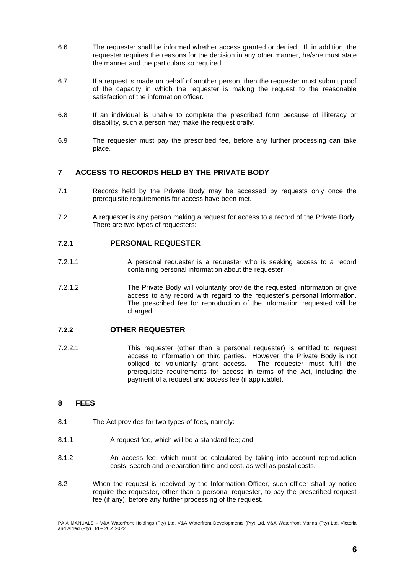- 6.6 The requester shall be informed whether access granted or denied. If, in addition, the requester requires the reasons for the decision in any other manner, he/she must state the manner and the particulars so required.
- 6.7 If a request is made on behalf of another person, then the requester must submit proof of the capacity in which the requester is making the request to the reasonable satisfaction of the information officer.
- 6.8 If an individual is unable to complete the prescribed form because of illiteracy or disability, such a person may make the request orally.
- 6.9 The requester must pay the prescribed fee, before any further processing can take place.

# **7 ACCESS TO RECORDS HELD BY THE PRIVATE BODY**

- 7.1 Records held by the Private Body may be accessed by requests only once the prerequisite requirements for access have been met.
- 7.2 A requester is any person making a request for access to a record of the Private Body. There are two types of requesters:

### **7.2.1 PERSONAL REQUESTER**

- 7.2.1.1 A personal requester is a requester who is seeking access to a record containing personal information about the requester.
- 7.2.1.2 The Private Body will voluntarily provide the requested information or give access to any record with regard to the requester's personal information. The prescribed fee for reproduction of the information requested will be charged.

### **7.2.2 OTHER REQUESTER**

7.2.2.1 This requester (other than a personal requester) is entitled to request access to information on third parties. However, the Private Body is not obliged to voluntarily grant access. The requester must fulfil the prerequisite requirements for access in terms of the Act, including the payment of a request and access fee (if applicable).

# **8 FEES**

- 8.1 The Act provides for two types of fees, namely:
- 8.1.1 A request fee, which will be a standard fee; and
- 8.1.2 An access fee, which must be calculated by taking into account reproduction costs, search and preparation time and cost, as well as postal costs.
- 8.2 When the request is received by the Information Officer, such officer shall by notice require the requester, other than a personal requester, to pay the prescribed request fee (if any), before any further processing of the request.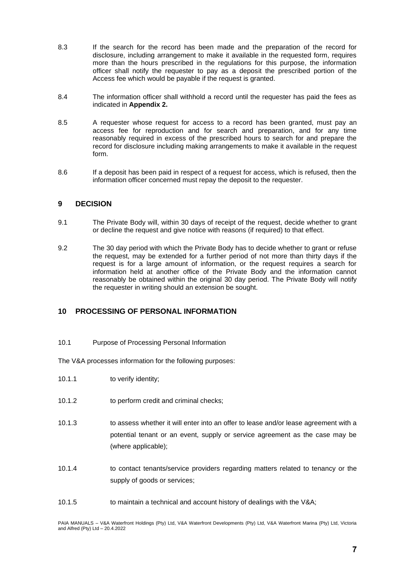- 8.3 If the search for the record has been made and the preparation of the record for disclosure, including arrangement to make it available in the requested form, requires more than the hours prescribed in the regulations for this purpose, the information officer shall notify the requester to pay as a deposit the prescribed portion of the Access fee which would be payable if the request is granted.
- 8.4 The information officer shall withhold a record until the requester has paid the fees as indicated in **Appendix 2.**
- 8.5 A requester whose request for access to a record has been granted, must pay an access fee for reproduction and for search and preparation, and for any time reasonably required in excess of the prescribed hours to search for and prepare the record for disclosure including making arrangements to make it available in the request form.
- 8.6 If a deposit has been paid in respect of a request for access, which is refused, then the information officer concerned must repay the deposit to the requester.

### **9 DECISION**

- 9.1 The Private Body will, within 30 days of receipt of the request, decide whether to grant or decline the request and give notice with reasons (if required) to that effect.
- 9.2 The 30 day period with which the Private Body has to decide whether to grant or refuse the request, may be extended for a further period of not more than thirty days if the request is for a large amount of information, or the request requires a search for information held at another office of the Private Body and the information cannot reasonably be obtained within the original 30 day period. The Private Body will notify the requester in writing should an extension be sought.

## **10 PROCESSING OF PERSONAL INFORMATION**

10.1 Purpose of Processing Personal Information

The V&A processes information for the following purposes:

- 10.1.1 to verify identity; 10.1.2 to perform credit and criminal checks; 10.1.3 to assess whether it will enter into an offer to lease and/or lease agreement with a potential tenant or an event, supply or service agreement as the case may be (where applicable); 10.1.4 to contact tenants/service providers regarding matters related to tenancy or the supply of goods or services;
- 10.1.5 to maintain a technical and account history of dealings with the V&A;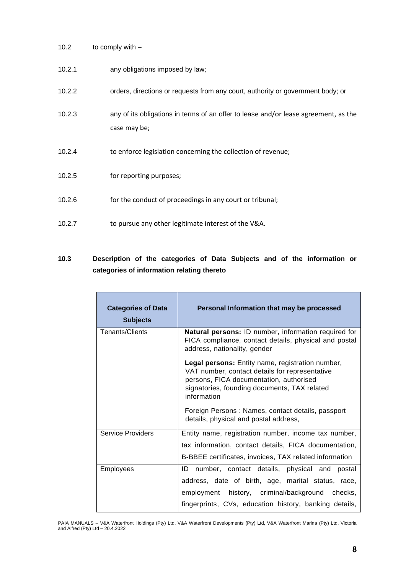10.2 to comply with –

| 10.2.1 | any obligations imposed by law;                                                                     |
|--------|-----------------------------------------------------------------------------------------------------|
| 10.2.2 | orders, directions or requests from any court, authority or government body; or                     |
| 10.2.3 | any of its obligations in terms of an offer to lease and/or lease agreement, as the<br>case may be; |
| 10.2.4 | to enforce legislation concerning the collection of revenue;                                        |
| 10.2.5 | for reporting purposes;                                                                             |
| 10.2.6 | for the conduct of proceedings in any court or tribunal;                                            |
| 10.2.7 | to pursue any other legitimate interest of the V&A.                                                 |

# **10.3 Description of the categories of Data Subjects and of the information or categories of information relating thereto**

| <b>Categories of Data</b><br><b>Subjects</b> | Personal Information that may be processed                                                                                                                                                                                                                                                                        |  |  |  |  |  |
|----------------------------------------------|-------------------------------------------------------------------------------------------------------------------------------------------------------------------------------------------------------------------------------------------------------------------------------------------------------------------|--|--|--|--|--|
| <b>Tenants/Clients</b>                       | Natural persons: ID number, information required for<br>FICA compliance, contact details, physical and postal<br>address, nationality, gender                                                                                                                                                                     |  |  |  |  |  |
|                                              | <b>Legal persons:</b> Entity name, registration number,<br>VAT number, contact details for representative<br>persons, FICA documentation, authorised<br>signatories, founding documents, TAX related<br>information<br>Foreign Persons: Names, contact details, passport<br>details, physical and postal address, |  |  |  |  |  |
| <b>Service Providers</b>                     | Entity name, registration number, income tax number,<br>tax information, contact details, FICA documentation,<br>B-BBEE certificates, invoices, TAX related information                                                                                                                                           |  |  |  |  |  |
| <b>Employees</b>                             | ID number, contact details, physical and<br>postal<br>address, date of birth, age, marital status, race,<br>employment history, criminal/background checks,<br>fingerprints, CVs, education history, banking details,                                                                                             |  |  |  |  |  |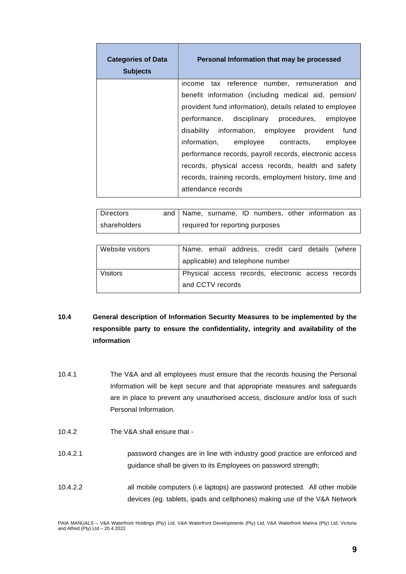| <b>Categories of Data</b><br><b>Subjects</b> | Personal Information that may be processed               |
|----------------------------------------------|----------------------------------------------------------|
|                                              | income tax reference number, remuneration and            |
|                                              | benefit information (including medical aid, pension/     |
|                                              | provident fund information), details related to employee |
|                                              | performance, disciplinary procedures, employee           |
|                                              | disability information, employee provident<br>fund       |
|                                              | information, employee contracts, employee                |
|                                              | performance records, payroll records, electronic access  |
|                                              | records, physical access records, health and safety      |
|                                              | records, training records, employment history, time and  |
|                                              | attendance records                                       |

| l Directors    | and   Name, surname, ID numbers, other information as |
|----------------|-------------------------------------------------------|
| l shareholders | prequired for reporting purposes                      |

| Website visitors |                  | Name, email address, credit card details (where    |  |  |
|------------------|------------------|----------------------------------------------------|--|--|
|                  |                  | applicable) and telephone number                   |  |  |
| Visitors         |                  | Physical access records, electronic access records |  |  |
|                  | and CCTV records |                                                    |  |  |
|                  |                  |                                                    |  |  |

# **10.4 General description of Information Security Measures to be implemented by the responsible party to ensure the confidentiality, integrity and availability of the information**

- 10.4.1 The V&A and all employees must ensure that the records housing the Personal Information will be kept secure and that appropriate measures and safeguards are in place to prevent any unauthorised access, disclosure and/or loss of such Personal Information.
- 10.4.2 The V&A shall ensure that -
- 10.4.2.1 password changes are in line with industry good practice are enforced and guidance shall be given to its Employees on password strength;
- 10.4.2.2 all mobile computers (i.e laptops) are password protected. All other mobile devices (eg. tablets, ipads and cellphones) making use of the V&A Network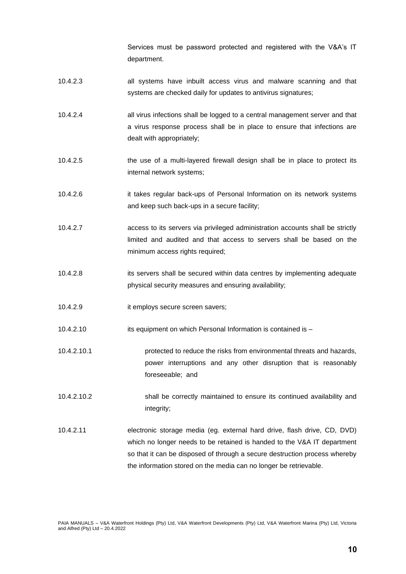Services must be password protected and registered with the V&A's IT department.

- 10.4.2.3 all systems have inbuilt access virus and malware scanning and that systems are checked daily for updates to antivirus signatures;
- 10.4.2.4 all virus infections shall be logged to a central management server and that a virus response process shall be in place to ensure that infections are dealt with appropriately;
- 10.4.2.5 the use of a multi-layered firewall design shall be in place to protect its internal network systems;
- 10.4.2.6 it takes regular back-ups of Personal Information on its network systems and keep such back-ups in a secure facility;
- 10.4.2.7 access to its servers via privileged administration accounts shall be strictly limited and audited and that access to servers shall be based on the minimum access rights required;
- 10.4.2.8 its servers shall be secured within data centres by implementing adequate physical security measures and ensuring availability;
- 10.4.2.9 it employs secure screen savers;
- 10.4.2.10 its equipment on which Personal Information is contained is –
- 10.4.2.10.1 protected to reduce the risks from environmental threats and hazards, power interruptions and any other disruption that is reasonably foreseeable; and
- 10.4.2.10.2 shall be correctly maintained to ensure its continued availability and integrity;
- 10.4.2.11 electronic storage media (eg. external hard drive, flash drive, CD, DVD) which no longer needs to be retained is handed to the V&A IT department so that it can be disposed of through a secure destruction process whereby the information stored on the media can no longer be retrievable.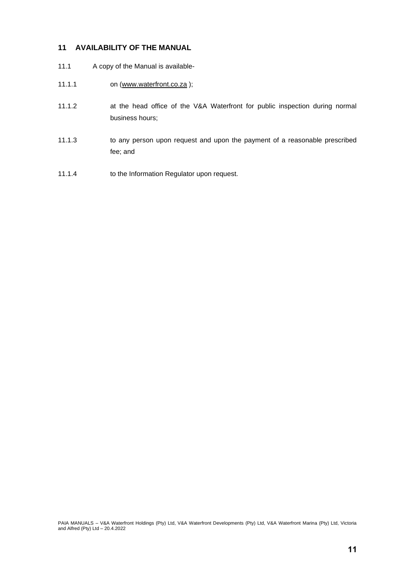# **11 AVAILABILITY OF THE MANUAL**

- 11.1 A copy of the Manual is available-
- 11.1.1 on [\(www.waterfront.co.za](http://www.waterfront.co.za/));
- 11.1.2 at the head office of the V&A Waterfront for public inspection during normal business hours;
- 11.1.3 to any person upon request and upon the payment of a reasonable prescribed fee; and
- 11.1.4 to the Information Regulator upon request.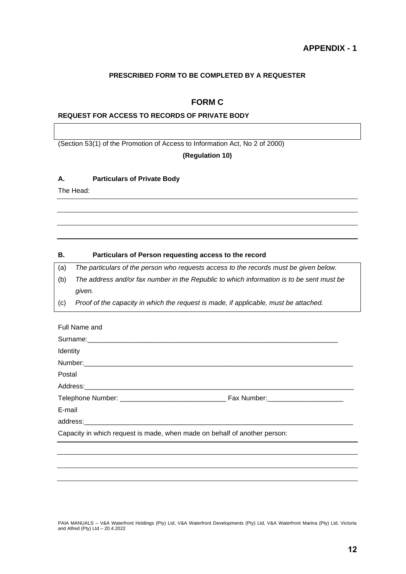# **PRESCRIBED FORM TO BE COMPLETED BY A REQUESTER**

# **FORM C**

## **REQUEST FOR ACCESS TO RECORDS OF PRIVATE BODY**

(Section 53(1) of the Promotion of Access to Information Act, No 2 of 2000)

#### **(Regulation 10)**

#### **A. Particulars of Private Body**

The Head:

#### **B. Particulars of Person requesting access to the record**

(a) *The particulars of the person who requests access to the records must be given below.*

- (b) *The address and/or fax number in the Republic to which information is to be sent must be given.*
- (c) *Proof of the capacity in which the request is made, if applicable, must be attached.*

| Full Name and                                                             |  |
|---------------------------------------------------------------------------|--|
|                                                                           |  |
| Identity                                                                  |  |
|                                                                           |  |
| Postal                                                                    |  |
|                                                                           |  |
|                                                                           |  |
| E-mail                                                                    |  |
| address: experience and address:                                          |  |
| Capacity in which request is made, when made on behalf of another person: |  |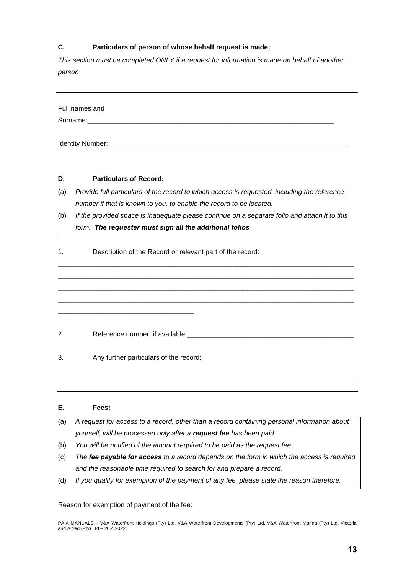### **C. Particulars of person of whose behalf request is made:**

*This section must be completed ONLY if a request for information is made on behalf of another person* 

\_\_\_\_\_\_\_\_\_\_\_\_\_\_\_\_\_\_\_\_\_\_\_\_\_\_\_\_\_\_\_\_\_\_\_\_\_\_\_\_\_\_\_\_\_\_\_\_\_\_\_\_\_\_\_\_\_\_\_\_\_\_\_\_\_\_\_\_\_\_\_\_\_\_\_\_\_\_

Full names and

Surname:

Identity Number:

# **D. Particulars of Record:**

(a) *Provide full particulars of the record to which access is requested, including the reference number if that is known to you, to enable the record to be located.*

(b) *If the provided space is inadequate please continue on a separate folio and attach it to this form. The requester must sign all the additional folios*

\_\_\_\_\_\_\_\_\_\_\_\_\_\_\_\_\_\_\_\_\_\_\_\_\_\_\_\_\_\_\_\_\_\_\_\_\_\_\_\_\_\_\_\_\_\_\_\_\_\_\_\_\_\_\_\_\_\_\_\_\_\_\_\_\_\_\_\_\_\_\_\_\_\_\_\_\_\_ \_\_\_\_\_\_\_\_\_\_\_\_\_\_\_\_\_\_\_\_\_\_\_\_\_\_\_\_\_\_\_\_\_\_\_\_\_\_\_\_\_\_\_\_\_\_\_\_\_\_\_\_\_\_\_\_\_\_\_\_\_\_\_\_\_\_\_\_\_\_\_\_\_\_\_\_\_\_ \_\_\_\_\_\_\_\_\_\_\_\_\_\_\_\_\_\_\_\_\_\_\_\_\_\_\_\_\_\_\_\_\_\_\_\_\_\_\_\_\_\_\_\_\_\_\_\_\_\_\_\_\_\_\_\_\_\_\_\_\_\_\_\_\_\_\_\_\_\_\_\_\_\_\_\_\_\_ \_\_\_\_\_\_\_\_\_\_\_\_\_\_\_\_\_\_\_\_\_\_\_\_\_\_\_\_\_\_\_\_\_\_\_\_\_\_\_\_\_\_\_\_\_\_\_\_\_\_\_\_\_\_\_\_\_\_\_\_\_\_\_\_\_\_\_\_\_\_\_\_\_\_\_\_\_\_

1. Description of the Record or relevant part of the record:

2. Reference number, if available:

3. Any further particulars of the record:

\_\_\_\_\_\_\_\_\_\_\_\_\_\_\_\_\_\_\_\_\_\_\_\_\_\_\_\_\_\_\_\_\_\_\_\_

| Е.  | Fees:                                                                                       |
|-----|---------------------------------------------------------------------------------------------|
| (a) | A request for access to a record, other than a record containing personal information about |
|     | yourself, will be processed only after a request fee has been paid.                         |
| (b) | You will be notified of the amount required to be paid as the request fee.                  |
| (c) | The fee payable for access to a record depends on the form in which the access is required  |
|     | and the reasonable time required to search for and prepare a record.                        |
| (d) | If you qualify for exemption of the payment of any fee, please state the reason therefore.  |

Reason for exemption of payment of the fee: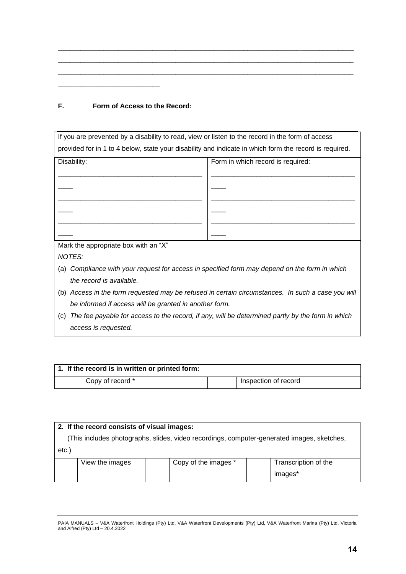| F. |  |  | Form of Access to the Record: |
|----|--|--|-------------------------------|
|    |  |  |                               |

\_\_\_\_\_\_\_\_\_\_\_\_\_\_\_\_\_\_\_\_\_\_\_\_\_\_\_

| If you are prevented by a disability to read, view or listen to the record in the form of access        |                                                                                               |  |  |  |
|---------------------------------------------------------------------------------------------------------|-----------------------------------------------------------------------------------------------|--|--|--|
| provided for in 1 to 4 below, state your disability and indicate in which form the record is required.  |                                                                                               |  |  |  |
| Disability:                                                                                             | Form in which record is required:                                                             |  |  |  |
|                                                                                                         |                                                                                               |  |  |  |
|                                                                                                         |                                                                                               |  |  |  |
|                                                                                                         |                                                                                               |  |  |  |
|                                                                                                         |                                                                                               |  |  |  |
|                                                                                                         |                                                                                               |  |  |  |
|                                                                                                         |                                                                                               |  |  |  |
| Mark the appropriate box with an "X"                                                                    |                                                                                               |  |  |  |
| NOTES:                                                                                                  |                                                                                               |  |  |  |
| (a)                                                                                                     | Compliance with your request for access in specified form may depend on the form in which     |  |  |  |
| the record is available.                                                                                |                                                                                               |  |  |  |
| (b)                                                                                                     | Access in the form requested may be refused in certain circumstances. In such a case you will |  |  |  |
| be informed if access will be granted in another form.                                                  |                                                                                               |  |  |  |
| The fee payable for access to the record, if any, will be determined partly by the form in which<br>(c) |                                                                                               |  |  |  |
| access is requested.                                                                                    |                                                                                               |  |  |  |
|                                                                                                         |                                                                                               |  |  |  |

\_\_\_\_\_\_\_\_\_\_\_\_\_\_\_\_\_\_\_\_\_\_\_\_\_\_\_\_\_\_\_\_\_\_\_\_\_\_\_\_\_\_\_\_\_\_\_\_\_\_\_\_\_\_\_\_\_\_\_\_\_\_\_\_\_\_\_\_\_\_\_\_\_\_\_\_\_\_ \_\_\_\_\_\_\_\_\_\_\_\_\_\_\_\_\_\_\_\_\_\_\_\_\_\_\_\_\_\_\_\_\_\_\_\_\_\_\_\_\_\_\_\_\_\_\_\_\_\_\_\_\_\_\_\_\_\_\_\_\_\_\_\_\_\_\_\_\_\_\_\_\_\_\_\_\_\_ \_\_\_\_\_\_\_\_\_\_\_\_\_\_\_\_\_\_\_\_\_\_\_\_\_\_\_\_\_\_\_\_\_\_\_\_\_\_\_\_\_\_\_\_\_\_\_\_\_\_\_\_\_\_\_\_\_\_\_\_\_\_\_\_\_\_\_\_\_\_\_\_\_\_\_\_\_\_

| 1. If the record is in written or printed form: |                  |  |                      |  |
|-------------------------------------------------|------------------|--|----------------------|--|
|                                                 | Copy of record * |  | Inspection of record |  |

| 2. If the record consists of visual images:                                                |                 |  |                      |  |                      |  |  |
|--------------------------------------------------------------------------------------------|-----------------|--|----------------------|--|----------------------|--|--|
| (This includes photographs, slides, video recordings, computer-generated images, sketches, |                 |  |                      |  |                      |  |  |
| etc.                                                                                       |                 |  |                      |  |                      |  |  |
|                                                                                            | View the images |  | Copy of the images * |  | Transcription of the |  |  |
|                                                                                            |                 |  |                      |  | images*              |  |  |

PAIA MANUALS – V&A Waterfront Holdings (Pty) Ltd, V&A Waterfront Developments (Pty) Ltd, V&A Waterfront Marina (Pty) Ltd, Victoria and Alfred (Pty) Ltd – 20.4.2022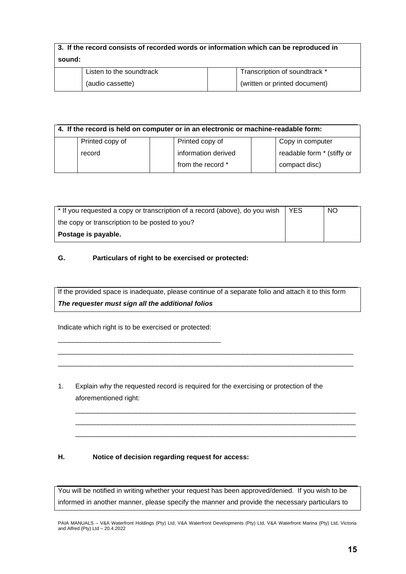| 3. If the record consists of recorded words or information which can be reproduced in |                               |  |  |  |
|---------------------------------------------------------------------------------------|-------------------------------|--|--|--|
| sound:                                                                                |                               |  |  |  |
| Listen to the soundtrack                                                              | Transcription of soundtrack * |  |  |  |
| (audio cassette)                                                                      | (written or printed document) |  |  |  |

| 4. If the record is held on computer or in an electronic or machine-readable form: |                 |  |                     |  |                            |
|------------------------------------------------------------------------------------|-----------------|--|---------------------|--|----------------------------|
|                                                                                    | Printed copy of |  | Printed copy of     |  | Copy in computer           |
|                                                                                    | record          |  | information derived |  | readable form * (stiffy or |
|                                                                                    |                 |  | from the record *   |  | compact disc)              |

| * If you requested a copy or transcription of a record (above), do you wish | <b>YES</b> | <b>NO</b> |
|-----------------------------------------------------------------------------|------------|-----------|
| the copy or transcription to be posted to you?                              |            |           |
| Postage is payable.                                                         |            |           |

# **G. Particulars of right to be exercised or protected:**

If the provided space is inadequate, please continue of a separate folio and attach it to this form *The requester must sign all the additional folios*

\_\_\_\_\_\_\_\_\_\_\_\_\_\_\_\_\_\_\_\_\_\_\_\_\_\_\_\_\_\_\_\_\_\_\_\_\_\_\_\_\_\_\_\_\_\_\_\_\_\_\_\_\_\_\_\_\_\_\_\_\_\_\_\_\_\_\_\_\_\_\_\_\_\_\_\_\_\_ \_\_\_\_\_\_\_\_\_\_\_\_\_\_\_\_\_\_\_\_\_\_\_\_\_\_\_\_\_\_\_\_\_\_\_\_\_\_\_\_\_\_\_\_\_\_\_\_\_\_\_\_\_\_\_\_\_\_\_\_\_\_\_\_\_\_\_\_\_\_\_\_\_\_\_\_\_\_

\_\_\_\_\_\_\_\_\_\_\_\_\_\_\_\_\_\_\_\_\_\_\_\_\_\_\_\_\_\_\_\_\_\_\_\_\_\_\_\_\_\_\_\_\_\_\_\_\_\_\_\_\_\_\_\_\_\_\_\_\_\_\_\_\_\_\_\_\_\_\_\_\_\_ \_\_\_\_\_\_\_\_\_\_\_\_\_\_\_\_\_\_\_\_\_\_\_\_\_\_\_\_\_\_\_\_\_\_\_\_\_\_\_\_\_\_\_\_\_\_\_\_\_\_\_\_\_\_\_\_\_\_\_\_\_\_\_\_\_\_\_\_\_\_\_\_\_\_ \_\_\_\_\_\_\_\_\_\_\_\_\_\_\_\_\_\_\_\_\_\_\_\_\_\_\_\_\_\_\_\_\_\_\_\_\_\_\_\_\_\_\_\_\_\_\_\_\_\_\_\_\_\_\_\_\_\_\_\_\_\_\_\_\_\_\_\_\_\_\_\_\_\_

Indicate which right is to be exercised or protected:

\_\_\_\_\_\_\_\_\_\_\_\_\_\_\_\_\_\_\_\_\_\_\_\_\_\_\_\_\_\_\_\_\_\_\_\_\_\_\_\_\_\_\_

1. Explain why the requested record is required for the exercising or protection of the aforementioned right:

# **H. Notice of decision regarding request for access:**

You will be notified in writing whether your request has been approved/denied. If you wish to be informed in another manner, please specify the manner and provide the necessary particulars to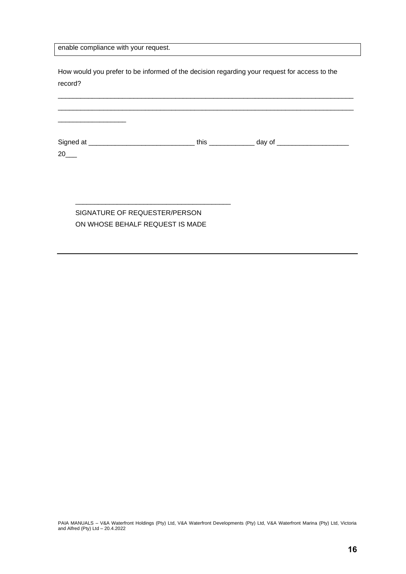enable compliance with your request.

How would you prefer to be informed of the decision regarding your request for access to the record?

# SIGNATURE OF REQUESTER/PERSON ON WHOSE BEHALF REQUEST IS MADE

\_\_\_\_\_\_\_\_\_\_\_\_\_\_\_\_\_\_\_\_\_\_\_\_\_\_\_\_\_\_\_\_\_\_\_\_\_\_\_\_\_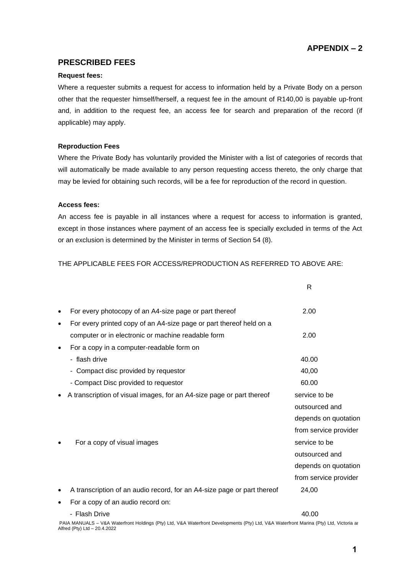# **APPENDIX – 2**

# **PRESCRIBED FEES**

#### **Request fees:**

Where a requester submits a request for access to information held by a Private Body on a person other that the requester himself/herself, a request fee in the amount of R140,00 is payable up-front and, in addition to the request fee, an access fee for search and preparation of the record (if applicable) may apply.

#### **Reproduction Fees**

Where the Private Body has voluntarily provided the Minister with a list of categories of records that will automatically be made available to any person requesting access thereto, the only charge that may be levied for obtaining such records, will be a fee for reproduction of the record in question.

#### **Access fees:**

An access fee is payable in all instances where a request for access to information is granted, except in those instances where payment of an access fee is specially excluded in terms of the Act or an exclusion is determined by the Minister in terms of Section 54 (8).

### THE APPLICABLE FEES FOR ACCESS/REPRODUCTION AS REFERRED TO ABOVE ARE:

|                                                                                                                               | R                                                                                                                                 |
|-------------------------------------------------------------------------------------------------------------------------------|-----------------------------------------------------------------------------------------------------------------------------------|
| For every photocopy of an A4-size page or part thereof<br>For every printed copy of an A4-size page or part thereof held on a | 2.00                                                                                                                              |
| computer or in electronic or machine readable form<br>For a copy in a computer-readable form on                               | 2.00                                                                                                                              |
| - flash drive<br>- Compact disc provided by requestor<br>- Compact Disc provided to requestor                                 | 40.00<br>40,00<br>60.00                                                                                                           |
| A transcription of visual images, for an A4-size page or part thereof                                                         | service to be<br>outsourced and                                                                                                   |
| For a copy of visual images                                                                                                   | depends on quotation<br>from service provider<br>service to be<br>outsourced and<br>depends on quotation<br>from service provider |
| A transcription of an audio record, for an A4-size page or part thereof                                                       | 24,00                                                                                                                             |
| For a copy of an audio record on:                                                                                             |                                                                                                                                   |
| - Flash Drive                                                                                                                 | 40.00                                                                                                                             |
|                                                                                                                               |                                                                                                                                   |